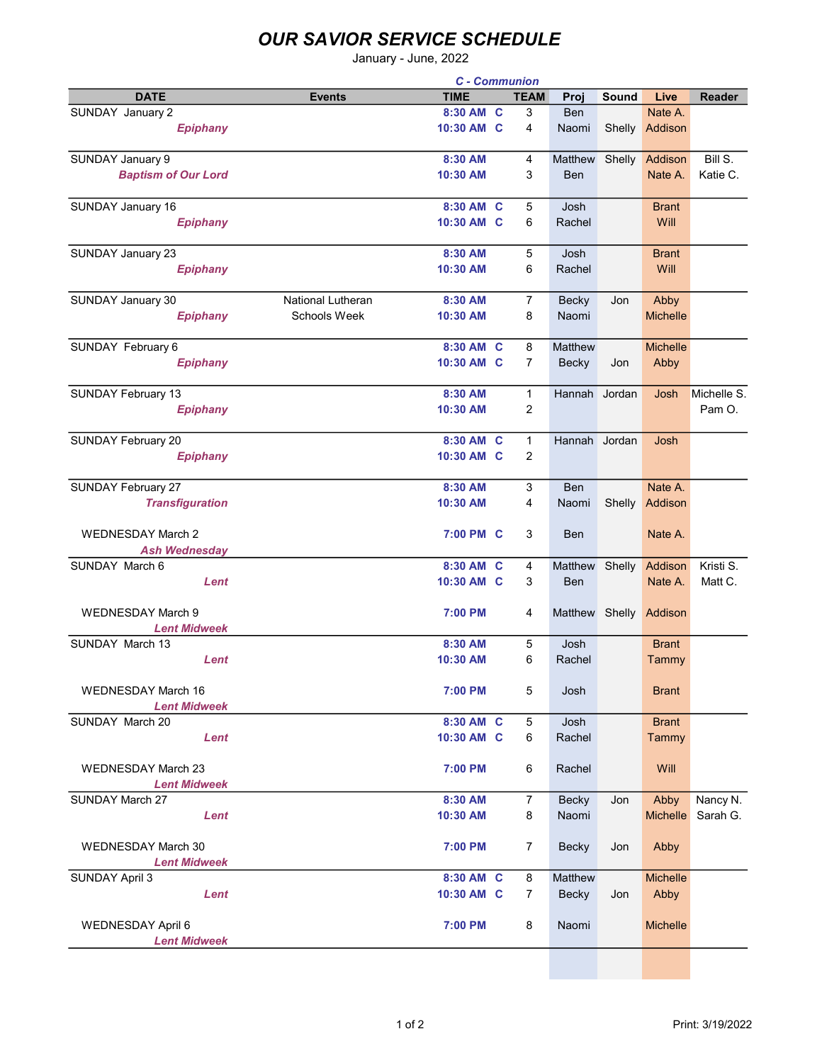## OUR SAVIOR SERVICE SCHEDULE

January - June, 2022

|                            |                          | <b>C</b> - Communion |   |                |                |              |                 |               |
|----------------------------|--------------------------|----------------------|---|----------------|----------------|--------------|-----------------|---------------|
| <b>DATE</b>                | <b>Events</b>            | <b>TIME</b>          |   | <b>TEAM</b>    | Proj           | <b>Sound</b> | Live            | <b>Reader</b> |
| SUNDAY January 2           |                          | 8:30 AM C            |   | 3              | <b>Ben</b>     |              | Nate A.         |               |
| <b>Epiphany</b>            |                          | 10:30 AM C           |   | 4              | Naomi          | Shelly       | Addison         |               |
|                            |                          |                      |   |                |                |              |                 |               |
| <b>SUNDAY January 9</b>    |                          | 8:30 AM              |   | 4              | <b>Matthew</b> | Shelly       | Addison         | Bill S.       |
|                            |                          |                      |   |                |                |              |                 |               |
| <b>Baptism of Our Lord</b> |                          | 10:30 AM             |   | 3              | <b>Ben</b>     |              | Nate A.         | Katie C.      |
|                            |                          |                      |   |                |                |              |                 |               |
| SUNDAY January 16          |                          | 8:30 AM              | C | 5              | Josh           |              | <b>Brant</b>    |               |
| <b>Epiphany</b>            |                          | 10:30 AM C           |   | 6              | Rachel         |              | Will            |               |
|                            |                          |                      |   |                |                |              |                 |               |
| <b>SUNDAY January 23</b>   |                          | 8:30 AM              |   | 5              | Josh           |              | <b>Brant</b>    |               |
| <b>Epiphany</b>            |                          | 10:30 AM             |   | 6              | Rachel         |              | Will            |               |
|                            |                          |                      |   |                |                |              |                 |               |
| <b>SUNDAY January 30</b>   | <b>National Lutheran</b> | 8:30 AM              |   | $\overline{7}$ | Becky          | Jon          | Abby            |               |
| <b>Epiphany</b>            | <b>Schools Week</b>      | 10:30 AM             |   | 8              | Naomi          |              | <b>Michelle</b> |               |
|                            |                          |                      |   |                |                |              |                 |               |
| SUNDAY February 6          |                          | 8:30 AM C            |   | 8              | Matthew        |              | <b>Michelle</b> |               |
| <b>Epiphany</b>            |                          | 10:30 AM C           |   | $\overline{7}$ | Becky          | Jon          | Abby            |               |
|                            |                          |                      |   |                |                |              |                 |               |
|                            |                          | 8:30 AM              |   | $\mathbf{1}$   | Hannah Jordan  |              | Josh            | Michelle S.   |
| <b>SUNDAY February 13</b>  |                          |                      |   |                |                |              |                 |               |
| <b>Epiphany</b>            |                          | 10:30 AM             |   | 2              |                |              |                 | Pam O.        |
|                            |                          |                      |   |                |                |              |                 |               |
| <b>SUNDAY February 20</b>  |                          | 8:30 AM C            |   | $\mathbf{1}$   | Hannah Jordan  |              | Josh            |               |
| <b>Epiphany</b>            |                          | 10:30 AM C           |   | 2              |                |              |                 |               |
|                            |                          |                      |   |                |                |              |                 |               |
| <b>SUNDAY February 27</b>  |                          | 8:30 AM              |   | 3              | <b>Ben</b>     |              | Nate A.         |               |
| <b>Transfiguration</b>     |                          | 10:30 AM             |   | 4              | Naomi          | Shelly       | Addison         |               |
|                            |                          |                      |   |                |                |              |                 |               |
| <b>WEDNESDAY March 2</b>   |                          | 7:00 PM C            |   | 3              | Ben            |              | Nate A.         |               |
| <b>Ash Wednesday</b>       |                          |                      |   |                |                |              |                 |               |
| SUNDAY March 6             |                          | 8:30 AM              | C | 4              | <b>Matthew</b> | Shelly       | Addison         | Kristi S.     |
| Lent                       |                          | 10:30 AM C           |   | 3              | Ben            |              | Nate A.         | Matt C.       |
|                            |                          |                      |   |                |                |              |                 |               |
| <b>WEDNESDAY March 9</b>   |                          | 7:00 PM              |   | 4              | Matthew Shelly |              | Addison         |               |
| <b>Lent Midweek</b>        |                          |                      |   |                |                |              |                 |               |
| SUNDAY March 13            |                          | 8:30 AM              |   | 5              | Josh           |              | <b>Brant</b>    |               |
|                            |                          |                      |   |                |                |              |                 |               |
| Lent                       |                          | 10:30 AM             |   | 6              | Rachel         |              | Tammy           |               |
|                            |                          |                      |   |                |                |              |                 |               |
| <b>WEDNESDAY March 16</b>  |                          | 7:00 PM              |   | 5              | Josh           |              | <b>Brant</b>    |               |
| <b>Lent Midweek</b>        |                          |                      |   |                |                |              |                 |               |
| SUNDAY March 20            |                          | 8:30 AM C            |   | 5              | Josh           |              | <b>Brant</b>    |               |
| Lent                       |                          | 10:30 AM C           |   | 6              | Rachel         |              | Tammy           |               |
|                            |                          |                      |   |                |                |              |                 |               |
| <b>WEDNESDAY March 23</b>  |                          | 7:00 PM              |   | 6              | Rachel         |              | Will            |               |
| <b>Lent Midweek</b>        |                          |                      |   |                |                |              |                 |               |
| SUNDAY March 27            |                          | 8:30 AM              |   | $\overline{7}$ | <b>Becky</b>   | Jon          | Abby            | Nancy N.      |
| Lent                       |                          | 10:30 AM             |   | 8              | Naomi          |              | <b>Michelle</b> | Sarah G.      |
|                            |                          |                      |   |                |                |              |                 |               |
| <b>WEDNESDAY March 30</b>  |                          | 7:00 PM              |   | $\overline{7}$ | <b>Becky</b>   | Jon          | Abby            |               |
| <b>Lent Midweek</b>        |                          |                      |   |                |                |              |                 |               |
| <b>SUNDAY April 3</b>      |                          | 8:30 AM C            |   | 8              | Matthew        |              | <b>Michelle</b> |               |
|                            |                          |                      |   |                |                |              |                 |               |
| Lent                       |                          | 10:30 AM C           |   | $\overline{7}$ | <b>Becky</b>   | Jon          | Abby            |               |
|                            |                          |                      |   |                |                |              |                 |               |
| WEDNESDAY April 6          |                          | 7:00 PM              |   | 8              | Naomi          |              | <b>Michelle</b> |               |
| <b>Lent Midweek</b>        |                          |                      |   |                |                |              |                 |               |
|                            |                          |                      |   |                |                |              |                 |               |